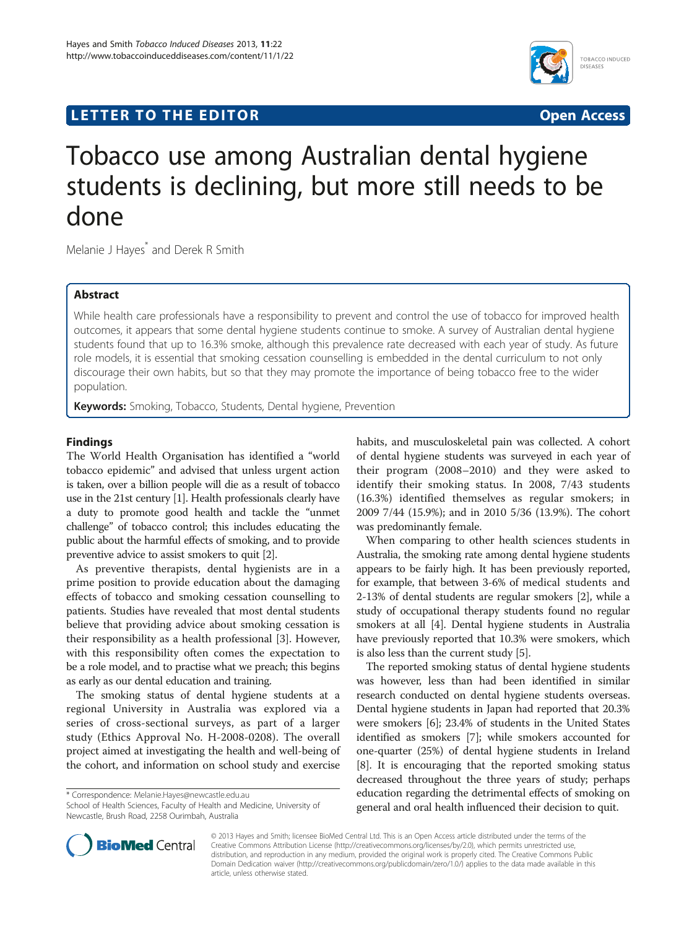# **LETTER TO THE EDITOR CONSIDERING ACCESS**



# Tobacco use among Australian dental hygiene students is declining, but more still needs to be done

Melanie J Hayes<sup>\*</sup> and Derek R Smith

## Abstract

While health care professionals have a responsibility to prevent and control the use of tobacco for improved health outcomes, it appears that some dental hygiene students continue to smoke. A survey of Australian dental hygiene students found that up to 16.3% smoke, although this prevalence rate decreased with each year of study. As future role models, it is essential that smoking cessation counselling is embedded in the dental curriculum to not only discourage their own habits, but so that they may promote the importance of being tobacco free to the wider population.

Keywords: Smoking, Tobacco, Students, Dental hygiene, Prevention

### Findings

The World Health Organisation has identified a "world tobacco epidemic" and advised that unless urgent action is taken, over a billion people will die as a result of tobacco use in the 21st century [\[1\]](#page-1-0). Health professionals clearly have a duty to promote good health and tackle the "unmet challenge" of tobacco control; this includes educating the public about the harmful effects of smoking, and to provide preventive advice to assist smokers to quit [\[2](#page-1-0)].

As preventive therapists, dental hygienists are in a prime position to provide education about the damaging effects of tobacco and smoking cessation counselling to patients. Studies have revealed that most dental students believe that providing advice about smoking cessation is their responsibility as a health professional [\[3\]](#page-1-0). However, with this responsibility often comes the expectation to be a role model, and to practise what we preach; this begins as early as our dental education and training.

The smoking status of dental hygiene students at a regional University in Australia was explored via a series of cross-sectional surveys, as part of a larger study (Ethics Approval No. H-2008-0208). The overall project aimed at investigating the health and well-being of the cohort, and information on school study and exercise

\* Correspondence: [Melanie.Hayes@newcastle.edu.au](mailto:Melanie.Hayes@newcastle.edu.au)

School of Health Sciences, Faculty of Health and Medicine, University of Newcastle, Brush Road, 2258 Ourimbah, Australia

habits, and musculoskeletal pain was collected. A cohort of dental hygiene students was surveyed in each year of their program (2008–2010) and they were asked to identify their smoking status. In 2008, 7/43 students (16.3%) identified themselves as regular smokers; in 2009 7/44 (15.9%); and in 2010 5/36 (13.9%). The cohort was predominantly female.

When comparing to other health sciences students in Australia, the smoking rate among dental hygiene students appears to be fairly high. It has been previously reported, for example, that between 3-6% of medical students and 2-13% of dental students are regular smokers [\[2](#page-1-0)], while a study of occupational therapy students found no regular smokers at all [\[4](#page-1-0)]. Dental hygiene students in Australia have previously reported that 10.3% were smokers, which is also less than the current study [[5\]](#page-1-0).

The reported smoking status of dental hygiene students was however, less than had been identified in similar research conducted on dental hygiene students overseas. Dental hygiene students in Japan had reported that 20.3% were smokers [\[6](#page-1-0)]; 23.4% of students in the United States identified as smokers [[7](#page-1-0)]; while smokers accounted for one-quarter (25%) of dental hygiene students in Ireland [[8\]](#page-1-0). It is encouraging that the reported smoking status decreased throughout the three years of study; perhaps education regarding the detrimental effects of smoking on general and oral health influenced their decision to quit.



© 2013 Hayes and Smith; licensee BioMed Central Ltd. This is an Open Access article distributed under the terms of the Creative Commons Attribution License (<http://creativecommons.org/licenses/by/2.0>), which permits unrestricted use, distribution, and reproduction in any medium, provided the original work is properly cited. The Creative Commons Public Domain Dedication waiver [\(http://creativecommons.org/publicdomain/zero/1.0/\)](http://creativecommons.org/publicdomain/zero/1.0/) applies to the data made available in this article, unless otherwise stated.